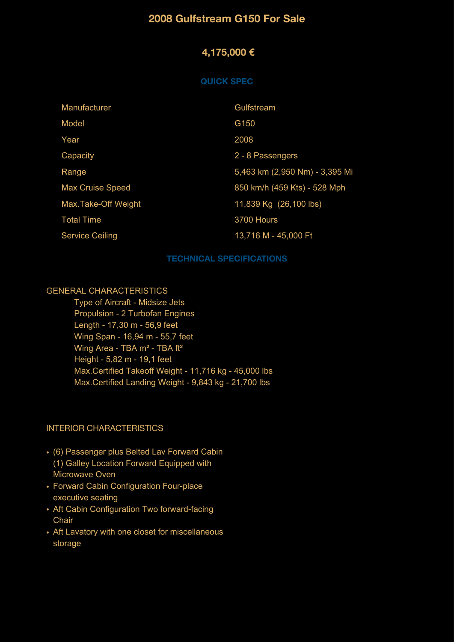## **2008 Gulfstream G150 For Sale**

# **4,175,000 €**

#### **QUICK SPEC**

| Manufacturer            | Gulfstream                     |
|-------------------------|--------------------------------|
| Model                   | G150                           |
| Year                    | 2008                           |
| Capacity                | 2 - 8 Passengers               |
| Range                   | 5,463 km (2,950 Nm) - 3,395 Mi |
| <b>Max Cruise Speed</b> | 850 km/h (459 Kts) - 528 Mph   |
| Max.Take-Off Weight     | 11,839 Kg (26,100 lbs)         |
| <b>Total Time</b>       | 3700 Hours                     |
| <b>Service Ceiling</b>  | 13,716 M - 45,000 Ft           |

#### **TECHNICAL SPECIFICATIONS**

#### GENERAL CHARACTERISTICS

 Type of Aircraft - Midsize Jets Propulsion - 2 Turbofan Engines Length - 17,30 m - 56,9 feet Wing Span - 16,94 m - 55,7 feet Wing Area - TBA m<sup>2</sup> - TBA ft<sup>2</sup> Height - 5,82 m - 19,1 feet Max.Certified Takeoff Weight - 11,716 kg - 45,000 lbs Max.Certified Landing Weight - 9,843 kg - 21,700 lbs

#### INTERIOR CHARACTERISTICS

- (6) Passenger plus Belted Lav Forward Cabin (1) Galley Location Forward Equipped with Microwave Oven
- Forward Cabin Configuration Four-place executive seating
- Aft Cabin Configuration Two forward-facing **Chair**
- Aft Lavatory with one closet for miscellaneous storage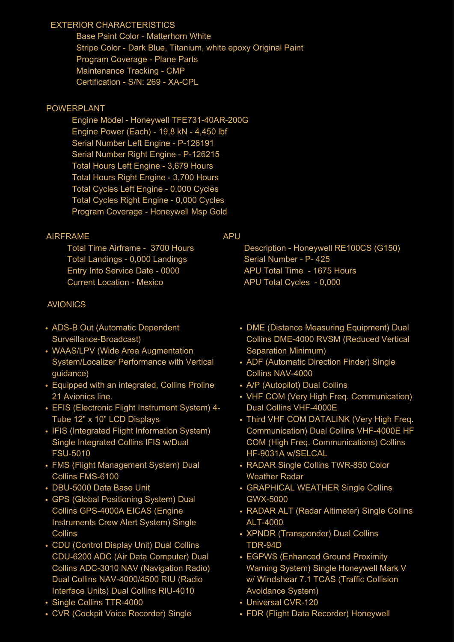### EXTERIOR CHARACTERISTICS

 Base Paint Color - Matterhorn White Stripe Color - Dark Blue, Titanium, white epoxy Original Paint Program Coverage - Plane Parts Maintenance Tracking - CMP Certification - S/N: 269 - XA-CPL

### POWERPLANT

 Engine Model - Honeywell TFE731-40AR-200G Engine Power (Each) - 19,8 kN - 4,450 lbf Serial Number Left Engine - P-126191 Serial Number Right Engine - P-126215 Total Hours Left Engine - 3,679 Hours Total Hours Right Engine - 3,700 Hours Total Cycles Left Engine - 0,000 Cycles Total Cycles Right Engine - 0,000 Cycles Program Coverage - Honeywell Msp Gold

### AIRFRAME

 Total Time Airframe - 3700 Hours Total Landings - 0,000 Landings Entry Into Service Date - 0000 Current Location - Mexico

## AVIONICS

- ADS-B Out (Automatic Dependent Surveillance-Broadcast)
- WAAS/LPV (Wide Area Augmentation System/Localizer Performance with Vertical guidance)
- Equipped with an integrated, Collins Proline 21 Avionics line.
- EFIS (Electronic Flight Instrument System) 4- Tube 12" x 10" LCD Displays
- IFIS (Integrated Flight Information System) Single Integrated Collins IFIS w/Dual FSU-5010
- FMS (Flight Management System) Dual Collins FMS-6100
- DBU-5000 Data Base Unit
- GPS (Global Positioning System) Dual Collins GPS-4000A EICAS (Engine Instruments Crew Alert System) Single **Collins**
- CDU (Control Display Unit) Dual Collins CDU-6200 ADC (Air Data Computer) Dual Collins ADC-3010 NAV (Navigation Radio) Dual Collins NAV-4000/4500 RIU (Radio Interface Units) Dual Collins RIU-4010
- Single Collins TTR-4000
- CVR (Cockpit Voice Recorder) Single

### APU

 Description - Honeywell RE100CS (G150) Serial Number - P- 425 APU Total Time - 1675 Hours APU Total Cycles - 0,000

- DME (Distance Measuring Equipment) Dual Collins DME-4000 RVSM (Reduced Vertical Separation Minimum)
- ADF (Automatic Direction Finder) Single Collins NAV-4000
- A/P (Autopilot) Dual Collins
- VHF COM (Very High Freq. Communication) Dual Collins VHF-4000E
- Third VHF COM DATALINK (Very High Freq. Communication) Dual Collins VHF-4000E HF COM (High Freq. Communications) Collins HF-9031A w/SELCAL
- RADAR Single Collins TWR-850 Color Weather Radar
- GRAPHICAL WEATHER Single Collins GWX-5000
- RADAR ALT (Radar Altimeter) Single Collins ALT-4000
- XPNDR (Transponder) Dual Collins TDR-94D
- EGPWS (Enhanced Ground Proximity Warning System) Single Honeywell Mark V w/ Windshear 7.1 TCAS (Traffic Collision Avoidance System)
- Universal CVR-120
- FDR (Flight Data Recorder) Honeywell